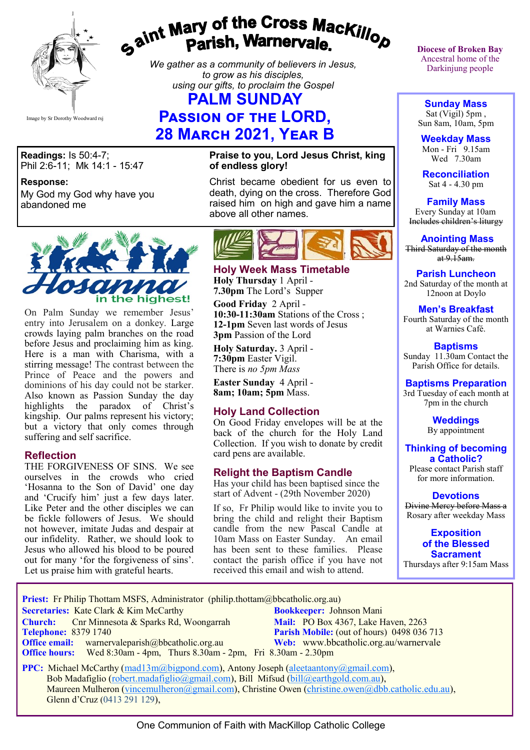

# gaint Mary of the Cross Mackillop<br>Parish, Warnervale.

*We gather as a community of believers in Jesus, to grow as his disciples, using our gifts, to proclaim the Gospel*

# **PALM SUNDAY**

# **Passion of the LORD, 28 March 2021, Year B**

**Readings:** Is 50:4-7; Phil 2:6-11; Mk 14:1 - 15:47

**Response:** 

My God my God why have you abandoned me



On Palm Sunday we remember Jesus' entry into Jerusalem on a donkey. Large crowds laying palm branches on the road before Jesus and proclaiming him as king. Here is a man with Charisma, with a stirring message! The contrast between the Prince of Peace and the powers and dominions of his day could not be starker. Also known as Passion Sunday the day highlights the paradox of Christ's kingship. Our palms represent his victory; but a victory that only comes through suffering and self sacrifice.

#### **Reflection**

THE FORGIVENESS OF SINS. We see ourselves in the crowds who cried 'Hosanna to the Son of David' one day and 'Crucify him' just a few days later. Like Peter and the other disciples we can be fickle followers of Jesus. We should not however, imitate Judas and despair at our infidelity. Rather, we should look to Jesus who allowed his blood to be poured out for many 'for the forgiveness of sins'. Let us praise him with grateful hearts.

#### **Praise to you, Lord Jesus Christ, king of endless glory!**

Christ became obedient for us even to death, dying on the cross. Therefore God raised him on high and gave him a name above all other names.



#### **Holy Week Mass Timetable Holy Thursday** 1 April - **7.30pm** The Lord's Supper

**Good Friday** 2 April - **10:30-11:30am** Stations of the Cross ; **12-1pm** Seven last words of Jesus **3pm** Passion of the Lord

**Holy Saturday.** 3 April - **7:30pm** Easter Vigil. There is *no 5pm Mass* 

**Easter Sunday** 4 April - **8am; 10am; 5pm** Mass.

## **Holy Land Collection**

On Good Friday envelopes will be at the back of the church for the Holy Land Collection. If you wish to donate by credit card pens are available.

#### **Relight the Baptism Candle**

Has your child has been baptised since the start of Advent - (29th November 2020)

If so, Fr Philip would like to invite you to bring the child and relight their Baptism candle from the new Pascal Candle at 10am Mass on Easter Sunday. An email has been sent to these families. Please contact the parish office if you have not received this email and wish to attend.

**Diocese of Broken Bay**  Ancestral home of the Darkinjung people

**Sunday Mass** Sat (Vigil) 5pm , Sun 8am, 10am, 5pm

**Weekday Mass** Mon - Fri 9.15am Wed 7.30am

**Reconciliation** Sat 4 - 4.30 pm

**Family Mass**  Every Sunday at 10am Includes children's liturgy

**Anointing Mass** Third Saturday of the month  $at 9.15am.$ 

**Parish Luncheon** 2nd Saturday of the month at 12noon at Doylo

#### **Men's Breakfast**

Fourth Saturday of the month at Warnies Café.

**Baptisms** Sunday 11.30am Contact the Parish Office for details.

#### **Baptisms Preparation**

3rd Tuesday of each month at 7pm in the church

> **Weddings**  By appointment

**Thinking of becoming a Catholic?**

Please contact Parish staff for more information.

**Devotions**

Divine Mercy before Mass a Rosary after weekday Mass

**Exposition of the Blessed Sacrament** Thursdays after 9:15am Mass

**Priest:** Fr Philip Thottam MSFS, Administrator (philip.thottam@bbcatholic.org.au)

 **Secretaries:** Kate Clark & Kim McCarthy **Bookkeeper:** Johnson Mani

**Office email:** warnervaleparish@bbcatholic.org.au **Web:** [www.bbcatholic.org.au/warnervale](https://www.bbcatholic.org.au/warnervale)  **Office hours:** Wed 8:30am - 4pm, Thurs 8.30am - 2pm, Fri 8.30am - 2.30pm

**Church:** Cnr Minnesota & Sparks Rd, Woongarrah **Mail:** PO Box 4367, Lake Haven, 2263<br> **Telephone:** 8379 1740 **Parish Mobile:** (out of hours) 0498 036 **Parish Mobile:** (out of hours) 0498 036 713

**PPC:** Michael McCarthy ([mad13m@bigpond.com\),](mailto:mad13m@bigpond.com) Antony Joseph ([aleetaantony@gmail.com\)](mailto:aleetaantony@gmail.com), Bob Madafiglio ([robert.madafiglio@gmail.com\),](mailto:robert.madafiglio@gmail.com) Bill Mifsud ([bill@earthgold.com.au\),](mailto:bill@earthgold.com.au) Maureen Mulheron [\(vincemulheron@gmail.com\),](mailto:vincemulheron@gmail.com) Christine Owen (christine.owe[n@dbb.catholic.edu.au\),](mailto:ann.jackson@dbb.catholic.edu.au) Glenn d'Cruz (0413 291 129),